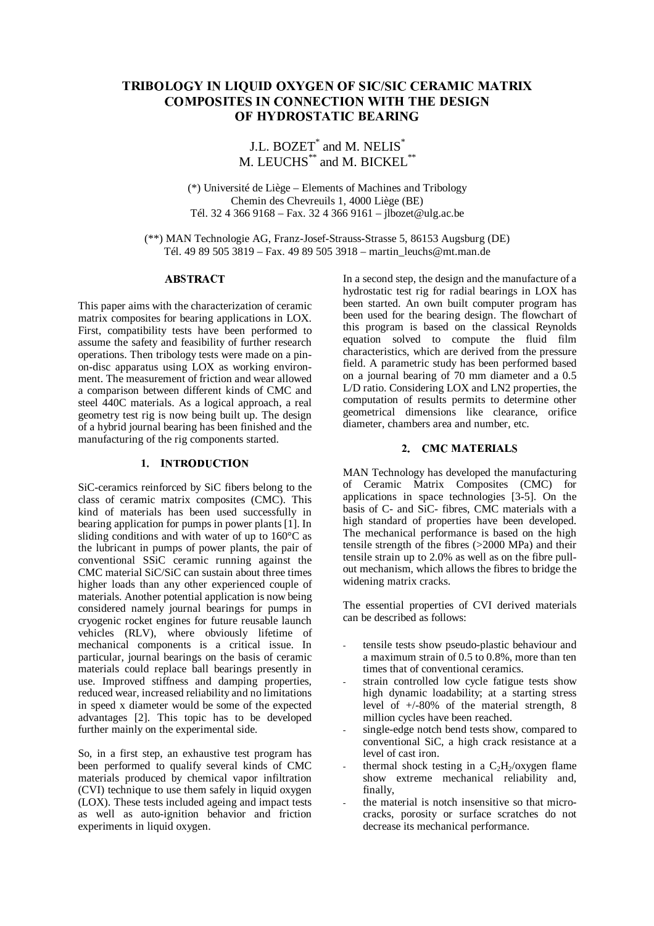# - 
  ! "\$#&%''%(#-) %'\*+,- - .-/-01-0
2 304&5,67#-'8#&5

J.L.  $\text{BOZET}^*$  and M.  $\text{NELIS}^*$ M. LEUCHS\*\* and M. BICKEL\*\*

(\*) Université de Liège – Elements of Machines and Tribology Chemin des Chevreuils 1, 4000 Liège (BE) Tél. 32 4 366 9168 – Fax. 32 4 366 9161 – jlbozet@ulg.ac.be

(\*\*) MAN Technologie AG, Franz-Josef-Strauss-Strasse 5, 86153 Augsburg (DE) Tél. 49 89 505 3819 – Fax. 49 89 505 3918 – martin\_leuchs@mt.man.de

# **ABSTRACT**

This paper aims with the characterization of ceramic matrix composites for bearing applications in LOX. First, compatibility tests have been performed to assume the safety and feasibility of further research operations. Then tribology tests were made on a pinon-disc apparatus using LOX as working environment. The measurement of friction and wear allowed a comparison between different kinds of CMC and steel 440C materials. As a logical approach, a real geometry test rig is now being built up. The design of a hybrid journal bearing has been finished and the manufacturing of the rig components started.

# 1. INTRODUCTION

SiC-ceramics reinforced by SiC fibers belong to the class of ceramic matrix composites (CMC). This kind of materials has been used successfully in bearing application for pumps in power plants [1]. In sliding conditions and with water of up to 160°C as the lubricant in pumps of power plants, the pair of conventional SSiC ceramic running against the CMC material SiC/SiC can sustain about three times higher loads than any other experienced couple of materials. Another potential application is now being considered namely journal bearings for pumps in cryogenic rocket engines for future reusable launch vehicles (RLV), where obviously lifetime of mechanical components is a critical issue. In particular, journal bearings on the basis of ceramic materials could replace ball bearings presently in use. Improved stiffness and damping properties, reduced wear, increased reliability and no limitations in speed x diameter would be some of the expected advantages [2]. This topic has to be developed further mainly on the experimental side.

So, in a first step, an exhaustive test program has been performed to qualify several kinds of CMC materials produced by chemical vapor infiltration (CVI) technique to use them safely in liquid oxygen (LOX). These tests included ageing and impact tests as well as auto-ignition behavior and friction experiments in liquid oxygen.

In a second step, the design and the manufacture of a hydrostatic test rig for radial bearings in LOX has been started. An own built computer program has been used for the bearing design. The flowchart of this program is based on the classical Reynolds equation solved to compute the fluid film characteristics, which are derived from the pressure field. A parametric study has been performed based on a journal bearing of 70 mm diameter and a 0.5 L/D ratio. Considering LOX and LN2 properties, the computation of results permits to determine other geometrical dimensions like clearance, orifice diameter, chambers area and number, etc.

### 2. CMC MATERIALS

MAN Technology has developed the manufacturing of Ceramic Matrix Composites (CMC) for applications in space technologies [3-5]. On the basis of C- and SiC- fibres, CMC materials with a high standard of properties have been developed. The mechanical performance is based on the high tensile strength of the fibres (>2000 MPa) and their tensile strain up to 2.0% as well as on the fibre pullout mechanism, which allows the fibres to bridge the widening matrix cracks.

The essential properties of CVI derived materials can be described as follows:

- tensile tests show pseudo-plastic behaviour and a maximum strain of 0.5 to 0.8%, more than ten times that of conventional ceramics.
- strain controlled low cycle fatigue tests show high dynamic loadability; at a starting stress level of +/-80% of the material strength, 8 million cycles have been reached.
- single-edge notch bend tests show, compared to conventional SiC, a high crack resistance at a level of cast iron.
- thermal shock testing in a  $C_2H_2/\text{oxygen}$  flame show extreme mechanical reliability and, finally,
- the material is notch insensitive so that microcracks, porosity or surface scratches do not decrease its mechanical performance.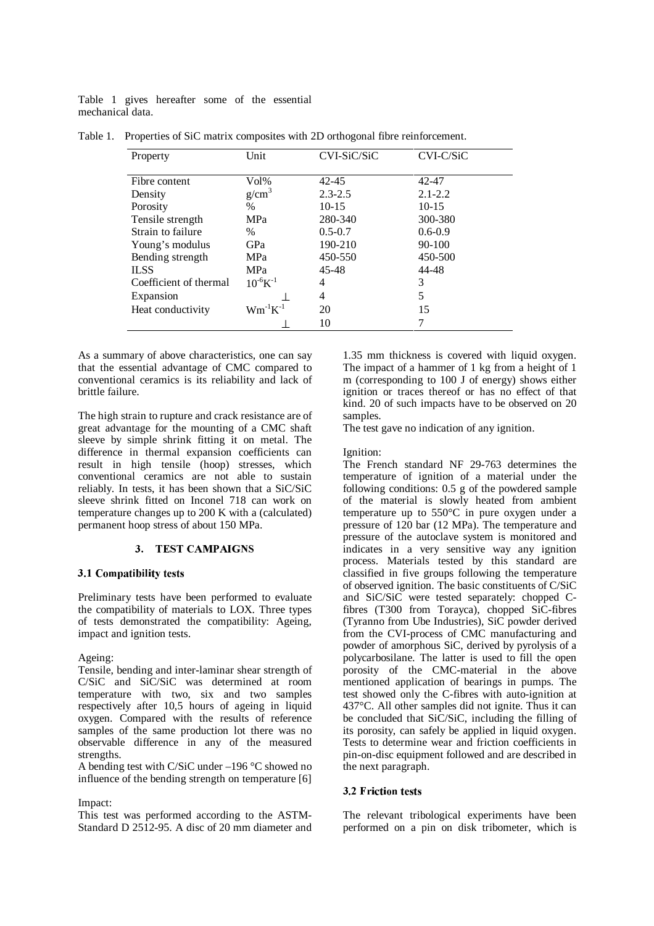Table 1 gives hereafter some of the essential mechanical data.

| Property               | Unit              | CVI-SiC/SiC | $CVI-C/SiC$ |
|------------------------|-------------------|-------------|-------------|
| Fibre content          | Vol%              | 42-45       | 42-47       |
| Density                | g/cm <sup>3</sup> | $2.3 - 2.5$ | $2.1 - 2.2$ |
| Porosity               | $\%$              | $10-15$     | $10 - 15$   |
| Tensile strength       | <b>MPa</b>        | 280-340     | 300-380     |
| Strain to failure      | $\%$              | $0.5 - 0.7$ | $0.6 - 0.9$ |
| Young's modulus        | GPa               | 190-210     | $90 - 100$  |
| Bending strength       | MPa               | 450-550     | 450-500     |
| <b>ILSS</b>            | <b>MPa</b>        | $45 - 48$   | 44-48       |
| Coefficient of thermal | $10^{-6}K^{-1}$   | 4           | 3           |
| Expansion              |                   | 4           | 5           |
| Heat conductivity      | $Wm^{-1}K^{-1}$   | 20          | 15          |
|                        |                   | 10          | 7           |

Table 1. Properties of SiC matrix composites with 2D orthogonal fibre reinforcement.

As a summary of above characteristics, one can say that the essential advantage of CMC compared to conventional ceramics is its reliability and lack of brittle failure.

The high strain to rupture and crack resistance are of great advantage for the mounting of a CMC shaft sleeve by simple shrink fitting it on metal. The difference in thermal expansion coefficients can result in high tensile (hoop) stresses, which conventional ceramics are not able to sustain reliably. In tests, it has been shown that a SiC/SiC sleeve shrink fitted on Inconel 718 can work on temperature changes up to 200 K with a (calculated) permanent hoop stress of about 150 MPa.

# 3. TEST CAMPAIGNS

## 3.1 Compatibility tests

Preliminary tests have been performed to evaluate the compatibility of materials to LOX. Three types of tests demonstrated the compatibility: Ageing, impact and ignition tests.

Ageing:

Tensile, bending and inter-laminar shear strength of C/SiC and SiC/SiC was determined at room temperature with two, six and two samples respectively after 10,5 hours of ageing in liquid oxygen. Compared with the results of reference samples of the same production lot there was no observable difference in any of the measured strengths.

A bending test with C/SiC under –196 °C showed no influence of the bending strength on temperature [6]

Impact:

This test was performed according to the ASTM-Standard D 2512-95. A disc of 20 mm diameter and 1.35 mm thickness is covered with liquid oxygen. The impact of a hammer of 1 kg from a height of 1 m (corresponding to 100 J of energy) shows either ignition or traces thereof or has no effect of that kind. 20 of such impacts have to be observed on 20 samples.

The test gave no indication of any ignition.

Ignition:

The French standard NF 29-763 determines the temperature of ignition of a material under the following conditions: 0.5 g of the powdered sample of the material is slowly heated from ambient temperature up to 550°C in pure oxygen under a pressure of 120 bar (12 MPa). The temperature and pressure of the autoclave system is monitored and indicates in a very sensitive way any ignition process. Materials tested by this standard are classified in five groups following the temperature of observed ignition. The basic constituents of C/SiC and SiC/SiC were tested separately: chopped Cfibres (T300 from Torayca), chopped SiC-fibres (Tyranno from Ube Industries), SiC powder derived from the CVI-process of CMC manufacturing and powder of amorphous SiC, derived by pyrolysis of a polycarbosilane. The latter is used to fill the open porosity of the CMC-material in the above mentioned application of bearings in pumps. The test showed only the C-fibres with auto-ignition at 437°C. All other samples did not ignite. Thus it can be concluded that SiC/SiC, including the filling of its porosity, can safely be applied in liquid oxygen. Tests to determine wear and friction coefficients in pin-on-disc equipment followed and are described in the next paragraph.

#### **3.2 Friction tests**

The relevant tribological experiments have been performed on a pin on disk tribometer, which is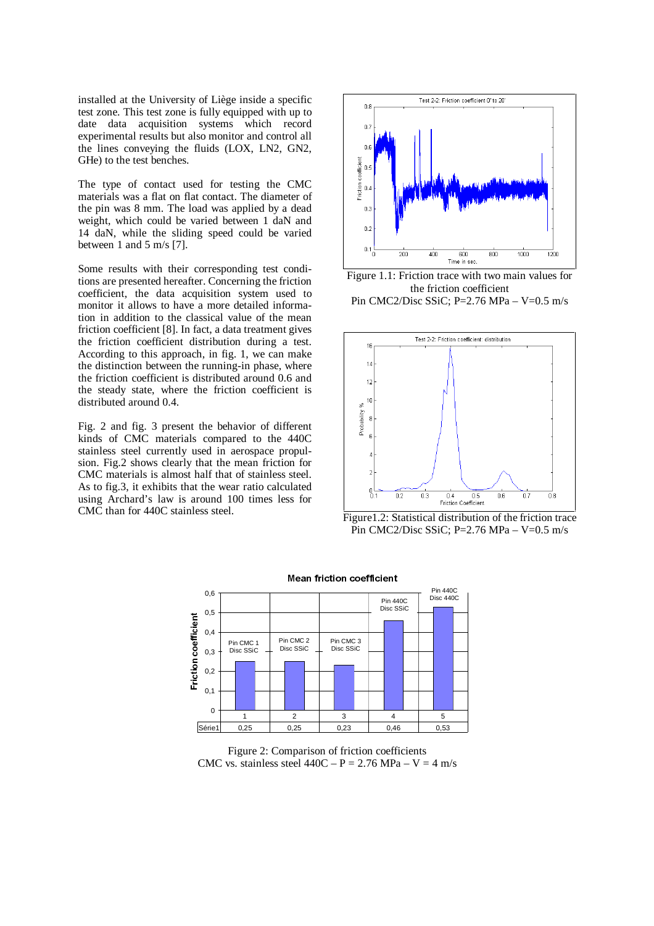installed at the University of Liège inside a specific test zone. This test zone is fully equipped with up to date data acquisition systems which record experimental results but also monitor and control all the lines conveying the fluids (LOX, LN2, GN2, GHe) to the test benches.

The type of contact used for testing the CMC materials was a flat on flat contact. The diameter of the pin was 8 mm. The load was applied by a dead weight, which could be varied between 1 daN and 14 daN, while the sliding speed could be varied between 1 and 5 m/s [7].

Some results with their corresponding test conditions are presented hereafter. Concerning the friction coefficient, the data acquisition system used to monitor it allows to have a more detailed information in addition to the classical value of the mean friction coefficient [8]. In fact, a data treatment gives the friction coefficient distribution during a test. According to this approach, in fig. 1, we can make the distinction between the running-in phase, where the friction coefficient is distributed around 0.6 and the steady state, where the friction coefficient is distributed around 0.4.

Fig. 2 and fig. 3 present the behavior of different kinds of CMC materials compared to the 440C stainless steel currently used in aerospace propulsion. Fig.2 shows clearly that the mean friction for CMC materials is almost half that of stainless steel. As to fig.3, it exhibits that the wear ratio calculated using Archard's law is around 100 times less for CMC than for 440C stainless steel.



Figure 1.1: Friction trace with two main values for the friction coefficient Pin CMC2/Disc SSiC; P=2.76 MPa – V=0.5 m/s



Figure1.2: Statistical distribution of the friction trace Pin CMC2/Disc SSiC; P=2.76 MPa –  $V=0.5$  m/s



-   

Figure 2: Comparison of friction coefficients CMC vs. stainless steel  $440C - P = 2.76 MPa - V = 4 m/s$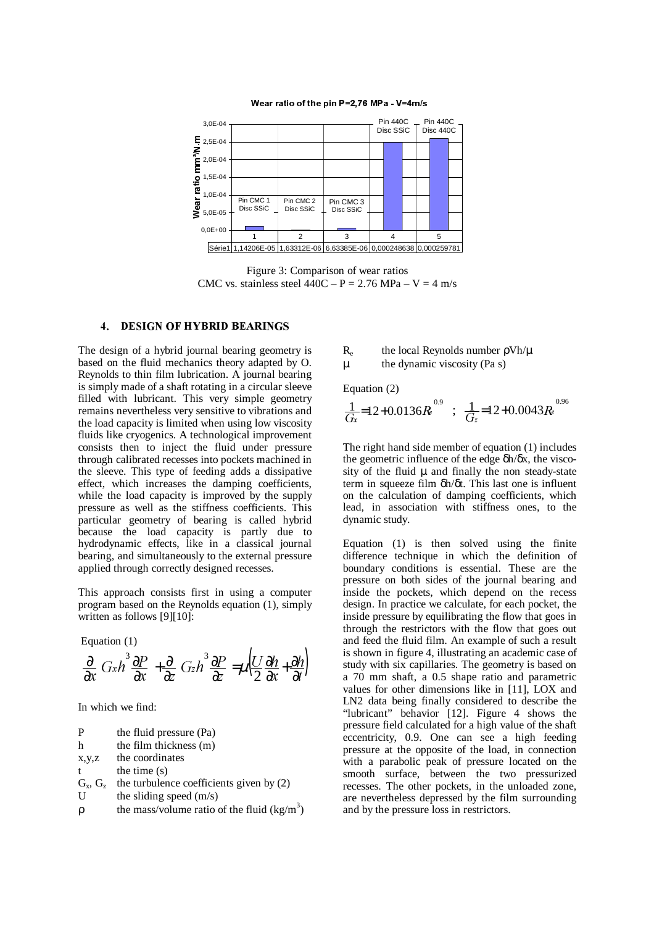

- 

  !"#

Figure 3: Comparison of wear ratios CMC vs. stainless steel  $440C - P = 2.76 MPa - V = 4 m/s$ 

#### **DESIGN OF HYBRID BEARINGS**  $\overline{4}$ .

The design of a hybrid journal bearing geometry is based on the fluid mechanics theory adapted by O. Reynolds to thin film lubrication. A journal bearing is simply made of a shaft rotating in a circular sleeve filled with lubricant. This very simple geometry remains nevertheless very sensitive to vibrations and the load capacity is limited when using low viscosity fluids like cryogenics. A technological improvement consists then to inject the fluid under pressure through calibrated recesses into pockets machined in the sleeve. This type of feeding adds a dissipative effect, which increases the damping coefficients, while the load capacity is improved by the supply pressure as well as the stiffness coefficients. This particular geometry of bearing is called hybrid because the load capacity is partly due to hydrodynamic effects, like in a classical journal bearing, and simultaneously to the external pressure applied through correctly designed recesses.

This approach consists first in using a computer program based on the Reynolds equation (1), simply written as follows [9][10]:

Equation (1) 
$$
\frac{\partial}{\partial x} \left[ G_x h^3 \frac{\partial P}{\partial x} \right] + \frac{\partial}{\partial z} \left[ G_z h^3 \frac{\partial P}{\partial z} \right] = \mu \left( \frac{U}{2} \frac{\partial h}{\partial x} + \frac{\partial h}{\partial t} \right)
$$

In which we find:

| P          | the fluid pressure (Pa)                  |
|------------|------------------------------------------|
| h          | the film thickness (m)                   |
| X, Y, Z    | the coordinates                          |
| t          | the time $(s)$                           |
| $G_x, G_z$ | the turbulence coefficients given by (2) |
| U          | the sliding speed $(m/s)$                |
| ρ          | the mass/volume ratio of the fluid (kg/m |

3 )

- Re the local Reynolds number ρVh/µ
- µ the dynamic viscosity (Pa s)

Equation (2)

$$
\frac{1}{G_x} = 12 + 0.0136 R_e^{0.9} \; ; \; \frac{1}{G_z} = 12 + 0.0043 R_e^{0.96}
$$

The right hand side member of equation (1) includes the geometric influence of the edge  $\delta h/\delta x$ , the viscosity of the fluid  $\mu$  and finally the non steady-state term in squeeze film δh/δt. This last one is influent on the calculation of damping coefficients, which lead, in association with stiffness ones, to the dynamic study.

Equation (1) is then solved using the finite difference technique in which the definition of boundary conditions is essential. These are the pressure on both sides of the journal bearing and inside the pockets, which depend on the recess design. In practice we calculate, for each pocket, the inside pressure by equilibrating the flow that goes in through the restrictors with the flow that goes out and feed the fluid film. An example of such a result is shown in figure 4, illustrating an academic case of study with six capillaries. The geometry is based on a 70 mm shaft, a 0.5 shape ratio and parametric values for other dimensions like in [11], LOX and LN2 data being finally considered to describe the "lubricant" behavior [12]. Figure 4 shows the pressure field calculated for a high value of the shaft eccentricity, 0.9. One can see a high feeding pressure at the opposite of the load, in connection with a parabolic peak of pressure located on the smooth surface, between the two pressurized recesses. The other pockets, in the unloaded zone, are nevertheless depressed by the film surrounding and by the pressure loss in restrictors.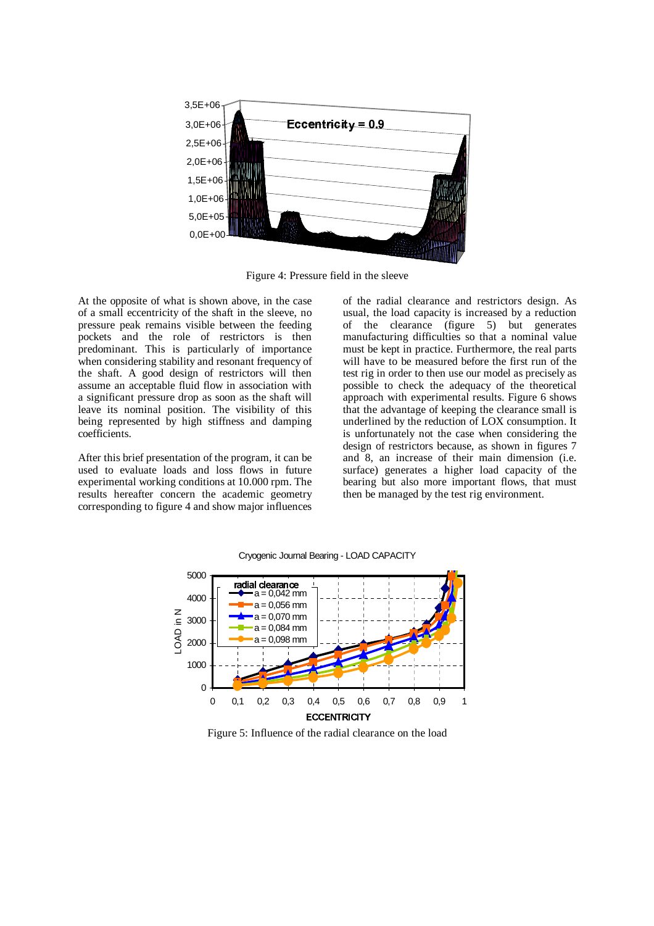

Figure 4: Pressure field in the sleeve

At the opposite of what is shown above, in the case of a small eccentricity of the shaft in the sleeve, no pressure peak remains visible between the feeding pockets and the role of restrictors is then predominant. This is particularly of importance when considering stability and resonant frequency of the shaft. A good design of restrictors will then assume an acceptable fluid flow in association with a significant pressure drop as soon as the shaft will leave its nominal position. The visibility of this being represented by high stiffness and damping coefficients.

After this brief presentation of the program, it can be used to evaluate loads and loss flows in future experimental working conditions at 10.000 rpm. The results hereafter concern the academic geometry corresponding to figure 4 and show major influences of the radial clearance and restrictors design. As usual, the load capacity is increased by a reduction of the clearance (figure 5) but generates manufacturing difficulties so that a nominal value must be kept in practice. Furthermore, the real parts will have to be measured before the first run of the test rig in order to then use our model as precisely as possible to check the adequacy of the theoretical approach with experimental results. Figure 6 shows that the advantage of keeping the clearance small is underlined by the reduction of LOX consumption. It is unfortunately not the case when considering the design of restrictors because, as shown in figures 7 and 8, an increase of their main dimension (i.e. surface) generates a higher load capacity of the bearing but also more important flows, that must then be managed by the test rig environment.



Cryogenic Journal Bearing - LOAD CAPACITY

Figure 5: Influence of the radial clearance on the load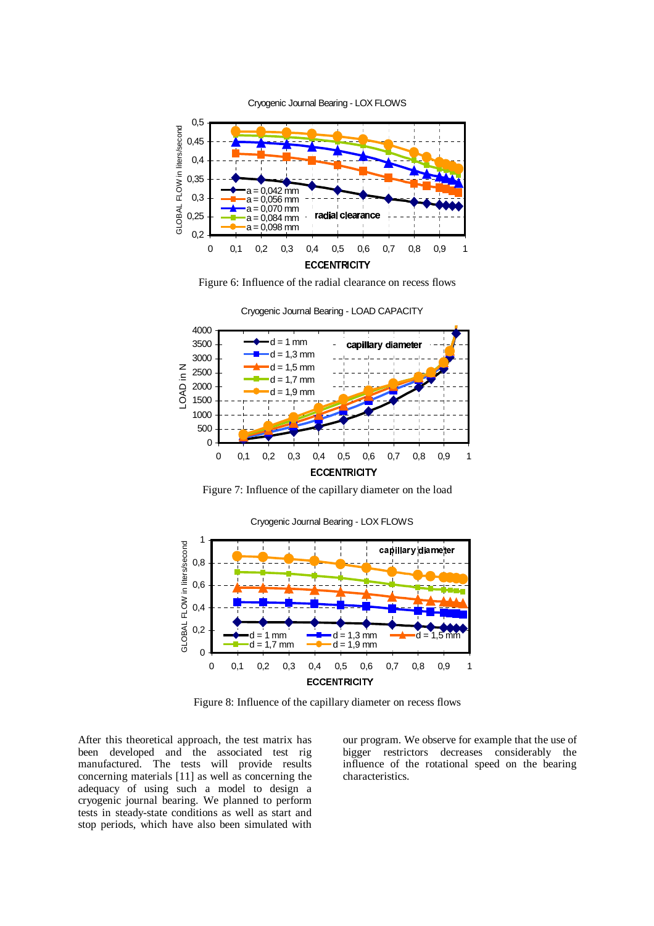

Figure 6: Influence of the radial clearance on recess flows



Cryogenic Journal Bearing - LOAD CAPACITY

Figure 7: Influence of the capillary diameter on the load



Cryogenic Journal Bearing - LOX FLOWS

Figure 8: Influence of the capillary diameter on recess flows

After this theoretical approach, the test matrix has been developed and the associated test rig manufactured. The tests will provide results concerning materials [11] as well as concerning the adequacy of using such a model to design a cryogenic journal bearing. We planned to perform tests in steady-state conditions as well as start and stop periods, which have also been simulated with our program. We observe for example that the use of bigger restrictors decreases considerably the influence of the rotational speed on the bearing characteristics.